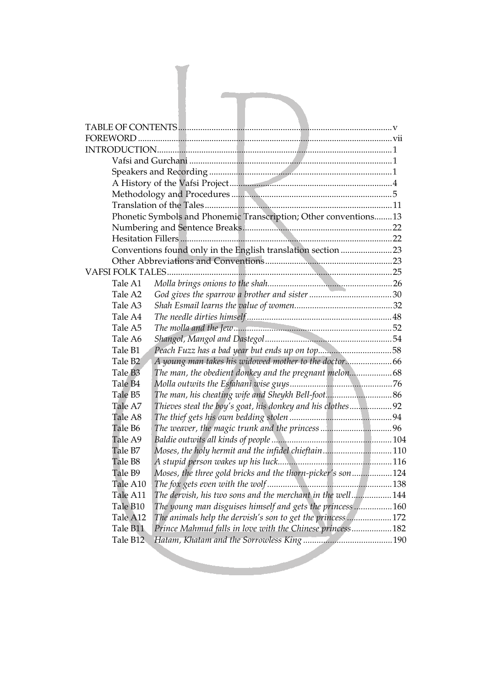|                      | Phonetic Symbols and Phonemic Transcription; Other conventions 13                                                      |
|----------------------|------------------------------------------------------------------------------------------------------------------------|
|                      |                                                                                                                        |
|                      |                                                                                                                        |
|                      | Conventions found only in the English translation section 23                                                           |
|                      |                                                                                                                        |
|                      |                                                                                                                        |
| Tale A1              |                                                                                                                        |
| Tale A2              |                                                                                                                        |
| Tale A3              |                                                                                                                        |
| Tale A4              |                                                                                                                        |
| Tale A5              |                                                                                                                        |
| Tale A6              |                                                                                                                        |
| Tale B1              |                                                                                                                        |
| Tale B <sub>2</sub>  |                                                                                                                        |
| Tale B <sub>3</sub>  | The man, the obedient donkey and the pregnant melon68                                                                  |
| Tale B <sub>4</sub>  |                                                                                                                        |
| Tale B5              |                                                                                                                        |
| Tale A7              | Thieves steal the boy's goat, his donkey and his clothes92                                                             |
| Tale A8              |                                                                                                                        |
| Tale B6              |                                                                                                                        |
| Tale A9              |                                                                                                                        |
| Tale B7              | Moses, the holy hermit and the infidel chieftain110                                                                    |
| Tale B8              |                                                                                                                        |
| Tale B9<br>Tale A10  | Moses, the three gold bricks and the thorn-picker's son124                                                             |
|                      |                                                                                                                        |
| Tale A11<br>Tale B10 | The dervish, his two sons and the merchant in the well 144<br>The young man disguises himself and gets the princess160 |
| Tale A12             | The animals help the dervish's son to get the princess172                                                              |
| Tale B11             | Prince Mahmud falls in love with the Chinese princess 182                                                              |
| Tale B12             |                                                                                                                        |
|                      |                                                                                                                        |
|                      |                                                                                                                        |
|                      |                                                                                                                        |